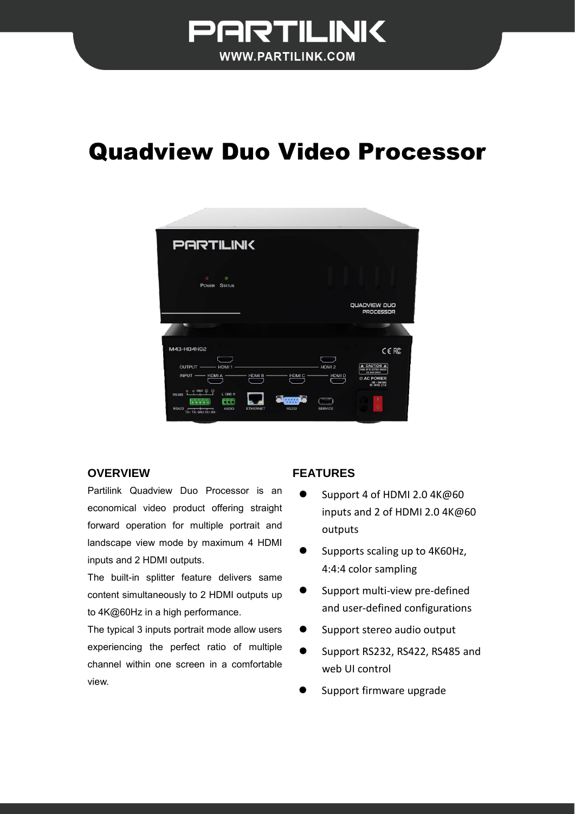

# Quadview Duo Video Processor



#### **OVERVIEW**

Partilink Quadview Duo Processor is an economical video product offering straight forward operation for multiple portrait and landscape view mode by maximum 4 HDMI inputs and 2 HDMI outputs.

The built-in splitter feature delivers same content simultaneously to 2 HDMI outputs up to 4K@60Hz in a high performance.

The typical 3 inputs portrait mode allow users experiencing the perfect ratio of multiple channel within one screen in a comfortable view.

#### **FEATURES**

- Support 4 of HDMI 2.0 4K@60 inputs and 2 of HDMI 2.0 4K@60 outputs
- Supports scaling up to 4K60Hz, 4:4:4 color sampling
- Support multi-view pre-defined and user-defined configurations
- Support stereo audio output
- Support RS232, RS422, RS485 and web UI control
- Support firmware upgrade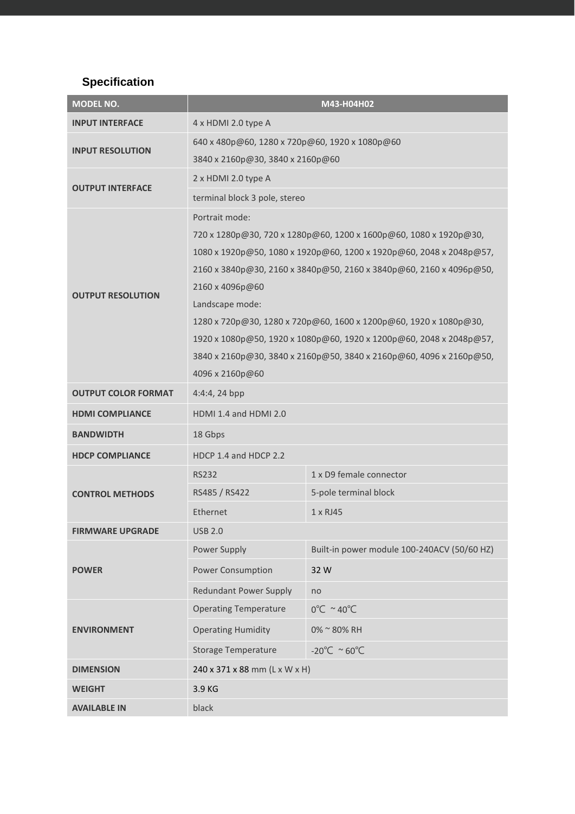## **Specification**

| MODEL NO.                  | M43-H04H02                                                          |                                             |
|----------------------------|---------------------------------------------------------------------|---------------------------------------------|
| <b>INPUT INTERFACE</b>     | 4 x HDMI 2.0 type A                                                 |                                             |
| <b>INPUT RESOLUTION</b>    | 640 x 480p@60, 1280 x 720p@60, 1920 x 1080p@60                      |                                             |
|                            | 3840 x 2160p@30, 3840 x 2160p@60                                    |                                             |
| <b>OUTPUT INTERFACE</b>    | 2 x HDMI 2.0 type A                                                 |                                             |
|                            | terminal block 3 pole, stereo                                       |                                             |
| <b>OUTPUT RESOLUTION</b>   | Portrait mode:                                                      |                                             |
|                            | 720 x 1280p@30, 720 x 1280p@60, 1200 x 1600p@60, 1080 x 1920p@30,   |                                             |
|                            | 1080 x 1920p@50, 1080 x 1920p@60, 1200 x 1920p@60, 2048 x 2048p@57, |                                             |
|                            | 2160 х 3840р@30, 2160 х 3840р@50, 2160 х 3840р@60, 2160 х 4096р@50, |                                             |
|                            | 2160 x 4096p@60                                                     |                                             |
|                            | Landscape mode:                                                     |                                             |
|                            | 1280 x 720p@30, 1280 x 720p@60, 1600 x 1200p@60, 1920 x 1080p@30,   |                                             |
|                            | 1920 x 1080p@50, 1920 x 1080p@60, 1920 x 1200p@60, 2048 x 2048p@57, |                                             |
|                            | 3840 х 2160р@30, 3840 х 2160р@50, 3840 х 2160р@60, 4096 х 2160р@50, |                                             |
|                            | 4096 x 2160p@60                                                     |                                             |
| <b>OUTPUT COLOR FORMAT</b> | 4:4:4, 24 bpp                                                       |                                             |
| <b>HDMI COMPLIANCE</b>     | HDMI 1.4 and HDMI 2.0                                               |                                             |
| <b>BANDWIDTH</b>           | 18 Gbps                                                             |                                             |
| <b>HDCP COMPLIANCE</b>     | HDCP 1.4 and HDCP 2.2                                               |                                             |
| <b>CONTROL METHODS</b>     | <b>RS232</b>                                                        | 1 x D9 female connector                     |
|                            | RS485 / RS422                                                       | 5-pole terminal block                       |
|                            | Ethernet                                                            | $1 \times R$ J45                            |
| <b>FIRMWARE UPGRADE</b>    | <b>USB 2.0</b>                                                      |                                             |
| <b>POWER</b>               | Power Supply                                                        | Built-in power module 100-240ACV (50/60 HZ) |
|                            | <b>Power Consumption</b>                                            | 32 W                                        |
|                            | <b>Redundant Power Supply</b>                                       | no                                          |
| <b>ENVIRONMENT</b>         | <b>Operating Temperature</b>                                        | $0^{\circ}$ C ~ 40 $^{\circ}$ C             |
|                            | <b>Operating Humidity</b>                                           | 0% ~ 80% RH                                 |
|                            | <b>Storage Temperature</b>                                          | $-20^{\circ}$ C ~ 60 $^{\circ}$ C           |
| <b>DIMENSION</b>           | 240 x 371 x 88 mm (L x W x H)                                       |                                             |
| <b>WEIGHT</b>              | 3.9 KG                                                              |                                             |
| <b>AVAILABLE IN</b>        | black                                                               |                                             |